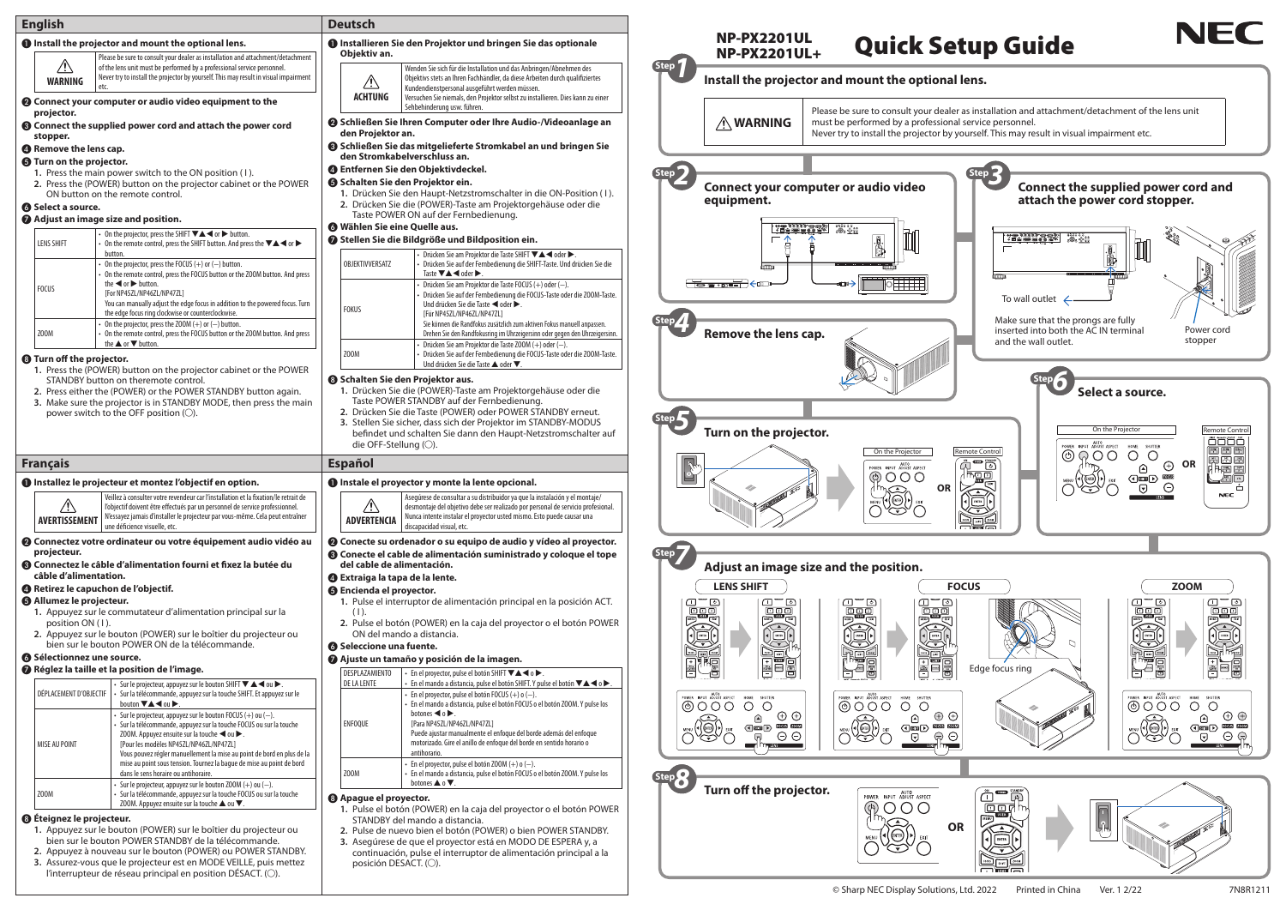- ur dealer as installation and attachment/detachment of the lens unit
- Never try to install the projector by yourself. This may result in visual impairment etc.

| <b>English</b>                                                                                                                                                                                                                                                                                                                                                   |                                                                                                                                                                                                                                                                                                                                                                            | <b>Deutsch</b>                                                                                                                                                                                                                                                                                                                           |                                                                                                                                                                                                                                                                                                                                                                                    |                                                              |                                                                                                                                                                                                                   |                                                                                                                                                                                                                                                                                                                                                                                                                         |                                                       |
|------------------------------------------------------------------------------------------------------------------------------------------------------------------------------------------------------------------------------------------------------------------------------------------------------------------------------------------------------------------|----------------------------------------------------------------------------------------------------------------------------------------------------------------------------------------------------------------------------------------------------------------------------------------------------------------------------------------------------------------------------|------------------------------------------------------------------------------------------------------------------------------------------------------------------------------------------------------------------------------------------------------------------------------------------------------------------------------------------|------------------------------------------------------------------------------------------------------------------------------------------------------------------------------------------------------------------------------------------------------------------------------------------------------------------------------------------------------------------------------------|--------------------------------------------------------------|-------------------------------------------------------------------------------------------------------------------------------------------------------------------------------------------------------------------|-------------------------------------------------------------------------------------------------------------------------------------------------------------------------------------------------------------------------------------------------------------------------------------------------------------------------------------------------------------------------------------------------------------------------|-------------------------------------------------------|
| <b>O</b> Install the projector and mount the optional lens.                                                                                                                                                                                                                                                                                                      |                                                                                                                                                                                                                                                                                                                                                                            | <b>O</b> Installieren Sie den Projektor und bringen Sie das optionale                                                                                                                                                                                                                                                                    |                                                                                                                                                                                                                                                                                                                                                                                    |                                                              | <b>NP-PX2201UL</b><br><b>NP-PX2201UL+</b>                                                                                                                                                                         | <b>Quick Setup Gu</b>                                                                                                                                                                                                                                                                                                                                                                                                   |                                                       |
| $\sqrt{N}$<br><b>WARNING</b>                                                                                                                                                                                                                                                                                                                                     | Please be sure to consult your dealer as installation and attachment/detachment<br>of the lens unit must be performed by a professional service personnel.<br>Never try to install the projector by yourself. This may result in visual impairment                                                                                                                         | Objektiv an.<br>$\mathbb{A}$<br><b>ACHTUNG</b>                                                                                                                                                                                                                                                                                           | Wenden Sie sich für die Installation und das Anbringen/Abnehmen des<br>Objektivs stets an Ihren Fachhändler, da diese Arbeiten durch qualifiziertes<br>Kundendienstpersonal ausgeführt werden müssen.<br>Versuchen Sie niemals, den Projektor selbst zu installieren. Dies kann zu einer                                                                                           | $\sqrt{\frac{1}{1-\epsilon}}$                                | Install the projector and mount the optional lens.                                                                                                                                                                |                                                                                                                                                                                                                                                                                                                                                                                                                         |                                                       |
| <sup>2</sup> Connect your computer or audio video equipment to the<br>projector.<br><b>8</b> Connect the supplied power cord and attach the power cord                                                                                                                                                                                                           |                                                                                                                                                                                                                                                                                                                                                                            | Sehbehinderung usw. führen.<br>Schließen Sie Ihren Computer oder Ihre Audio-/Videoanlage an                                                                                                                                                                                                                                              |                                                                                                                                                                                                                                                                                                                                                                                    |                                                              | Please be sure to consult your dealer as installation and<br><b>NARNING</b><br>must be performed by a professional service personnel                                                                              |                                                                                                                                                                                                                                                                                                                                                                                                                         |                                                       |
| stopper.<br><sup>4</sup> Remove the lens cap.                                                                                                                                                                                                                                                                                                                    |                                                                                                                                                                                                                                                                                                                                                                            | den Projektor an.<br>Schließen Sie das mitgelieferte Stromkabel an und bringen Sie<br>den Stromkabelverschluss an.                                                                                                                                                                                                                       |                                                                                                                                                                                                                                                                                                                                                                                    |                                                              | Never try to install the projector by yourself. This may re                                                                                                                                                       |                                                                                                                                                                                                                                                                                                                                                                                                                         |                                                       |
| <b>6</b> Turn on the projector.<br>1. Press the main power switch to the ON position (1).<br>2. Press the (POWER) button on the projector cabinet or the POWER<br>ON button on the remote control.<br><b>6</b> Select a source.                                                                                                                                  |                                                                                                                                                                                                                                                                                                                                                                            | <b>4</b> Entfernen Sie den Objektivdeckel.<br><b>6</b> Schalten Sie den Projektor ein.<br>1. Drücken Sie den Haupt-Netzstromschalter in die ON-Position (1).<br>2. Drücken Sie die (POWER)-Taste am Projektorgehäuse oder die                                                                                                            |                                                                                                                                                                                                                                                                                                                                                                                    |                                                              | Connect your computer or audio video<br>equipment.                                                                                                                                                                |                                                                                                                                                                                                                                                                                                                                                                                                                         | Co<br>att                                             |
| Adjust an image size and position.                                                                                                                                                                                                                                                                                                                               |                                                                                                                                                                                                                                                                                                                                                                            |                                                                                                                                                                                                                                                                                                                                          | Taste POWER ON auf der Fernbedienung.                                                                                                                                                                                                                                                                                                                                              |                                                              |                                                                                                                                                                                                                   |                                                                                                                                                                                                                                                                                                                                                                                                                         |                                                       |
| <b>LENS SHIFT</b>                                                                                                                                                                                                                                                                                                                                                | On the projector, press the SHIFT $\Psi \triangle \blacktriangle \blacktriangle$ or $\blacktriangleright$ button.<br>On the remote control, press the SHIFT button. And press the $\nabla \triangle \blacktriangle$ or $\blacktriangleright$<br>button.                                                                                                                    | <b>6</b> Wählen Sie eine Quelle aus.                                                                                                                                                                                                                                                                                                     | Stellen Sie die Bildgröße und Bildposition ein.                                                                                                                                                                                                                                                                                                                                    |                                                              | e pour le proteste.<br>Se le proteste                                                                                                                                                                             |                                                                                                                                                                                                                                                                                                                                                                                                                         | <b>2000 年度</b><br>  日白田                               |
| <b>FOCUS</b>                                                                                                                                                                                                                                                                                                                                                     | On the projector, press the FOCUS $(+)$ or $(-)$ button.<br>On the remote control, press the FOCUS button or the ZOOM button. And press<br>the $\blacktriangleleft$ or $\blacktriangleright$ button.<br>[For NP45ZL/NP46ZL/NP47ZL]<br>You can manually adjust the edge focus in addition to the powered focus. Turn                                                        | OBJEKTIVVERSATZ<br><b>FOKUS</b>                                                                                                                                                                                                                                                                                                          | Drücken Sie am Projektor die Taste SHIFT VA < oder ▶.<br>Drücken Sie auf der Fernbedienung die SHIFT-Taste. Und drücken Sie die<br>Taste $\nabla \triangle \blacktriangle$ oder $\blacktriangleright$ .<br>Drücken Sie am Projektor die Taste FOCUS (+) oder (-).<br>Drücken Sie auf der Fernbedienung die FOCUS-Taste oder die ZOOM-Taste.<br>Und drücken Sie die Taste < oder ▶. |                                                              | To a mat                                                                                                                                                                                                          |                                                                                                                                                                                                                                                                                                                                                                                                                         | To wall o                                             |
| Z00M<br><b>8</b> Turn off the projector.                                                                                                                                                                                                                                                                                                                         | the edge focus ring clockwise or counterclockwise.<br>On the projector, press the ZOOM $(+)$ or $(-)$ button.<br>On the remote control, press the FOCUS button or the ZOOM button. And press<br>the $\blacktriangle$ or $\nabla$ button.                                                                                                                                   | Z00M                                                                                                                                                                                                                                                                                                                                     | [Für NP45ZL/NP46ZL/NP47ZL]<br>Sie können die Randfokus zusätzlich zum aktiven Fokus manuell anpassen.<br>Drehen Sie den Randfokusring im Uhrzeigersinn oder gegen den Uhrzeigersinn.<br>Drücken Sie am Projektor die Taste ZOOM (+) oder (-).<br>Drücken Sie auf der Fernbedienung die FOCUS-Taste oder die ZOOM-Taste.                                                            |                                                              | Remove the lens cap.                                                                                                                                                                                              |                                                                                                                                                                                                                                                                                                                                                                                                                         | Make sure<br>inserted i<br>and the w                  |
| 2. Press either the (POWER) or the POWER STANDBY button again.<br>3. Make sure the projector is in STANDBY MODE, then press the main<br>power switch to the OFF position (O).                                                                                                                                                                                    |                                                                                                                                                                                                                                                                                                                                                                            | 1. Drücken Sie die (POWER)-Taste am Projektorgehäuse oder die<br>Taste POWER STANDBY auf der Fernbedienung.<br>2. Drücken Sie die Taste (POWER) oder POWER STANDBY erneut.<br>3. Stellen Sie sicher, dass sich der Projektor im STANDBY-MODUS<br>befindet und schalten Sie dann den Haupt-Netzstromschalter auf<br>die OFF-Stellung (○). |                                                                                                                                                                                                                                                                                                                                                                                    | Turn on the projector.<br>On the Projector<br>Remote Control |                                                                                                                                                                                                                   |                                                                                                                                                                                                                                                                                                                                                                                                                         |                                                       |
| <b>Français</b><br><b>O</b> Installez le projecteur et montez l'objectif en option.                                                                                                                                                                                                                                                                              |                                                                                                                                                                                                                                                                                                                                                                            | <b>Español</b><br><b>O</b> Instale el proyector y monte la lente opcional.                                                                                                                                                                                                                                                               |                                                                                                                                                                                                                                                                                                                                                                                    |                                                              |                                                                                                                                                                                                                   | AUTO<br>POWER INPUT ADJUST ASPECT<br>$\circledcirc \circ \circ \circ$                                                                                                                                                                                                                                                                                                                                                   | $\sqrt{2}$<br>$\overbrace{\phantom{a}}^{\text{long}}$ |
| <u>/!\</u><br>AVERTISSEMENT                                                                                                                                                                                                                                                                                                                                      | Veillez à consulter votre revendeur car l'installation et la fixation/le retrait de<br>l'objectif doivent être effectués par un personnel de service professionnel.<br>N'essayez jamais d'installer le projecteur par vous-même. Cela peut entraîner<br>une déficience visuelle, etc.                                                                                      | $\sqrt{2}$<br><b>ADVERTENCIA</b>                                                                                                                                                                                                                                                                                                         | Asegúrese de consultar a su distribuidor ya que la instalación y el montaje/<br>desmontaje del objetivo debe ser realizado por personal de servicio profesional.<br>Nunca intente instalar el proyector usted mismo. Esto puede causar una<br>discapacidad visual, etc.                                                                                                            |                                                              |                                                                                                                                                                                                                   | <b>OR</b><br><u>''') R</u>                                                                                                                                                                                                                                                                                                                                                                                              | $\widehat{\triangle}$                                 |
| projecteur.                                                                                                                                                                                                                                                                                                                                                      | 2 Connectez votre ordinateur ou votre équipement audio vidéo au                                                                                                                                                                                                                                                                                                            |                                                                                                                                                                                                                                                                                                                                          | <b>@</b> Conecte su ordenador o su equipo de audio y vídeo al proyector.<br><b>8</b> Conecte el cable de alimentación suministrado y coloque el tope                                                                                                                                                                                                                               | Step <sub>7</sub>                                            |                                                                                                                                                                                                                   |                                                                                                                                                                                                                                                                                                                                                                                                                         |                                                       |
| <b>8</b> Connectez le câble d'alimentation fourni et fixez la butée du<br>câble d'alimentation.                                                                                                                                                                                                                                                                  |                                                                                                                                                                                                                                                                                                                                                                            | del cable de alimentación.<br>4 Extraiga la tapa de la lente.                                                                                                                                                                                                                                                                            |                                                                                                                                                                                                                                                                                                                                                                                    |                                                              | Adjust an image size and the position.                                                                                                                                                                            |                                                                                                                                                                                                                                                                                                                                                                                                                         |                                                       |
|                                                                                                                                                                                                                                                                                                                                                                  | <b>4</b> Retirez le capuchon de l'objectif.                                                                                                                                                                                                                                                                                                                                |                                                                                                                                                                                                                                                                                                                                          | <b>6</b> Encienda el proyector.                                                                                                                                                                                                                                                                                                                                                    |                                                              | <b>LENS SHIFT</b>                                                                                                                                                                                                 | <b>FOCUS</b>                                                                                                                                                                                                                                                                                                                                                                                                            |                                                       |
| <b>6</b> Allumez le projecteur.<br>1. Appuyez sur le commutateur d'alimentation principal sur la<br>position ON (1).<br>2. Appuyez sur le bouton (POWER) sur le boîtier du projecteur ou<br>bien sur le bouton POWER ON de la télécommande.                                                                                                                      |                                                                                                                                                                                                                                                                                                                                                                            | 1. Pulse el interruptor de alimentación principal en la posición ACT.<br>2. Pulse el botón (POWER) en la caja del proyector o el botón POWER<br>ON del mando a distancia.<br><b>6</b> Seleccione una fuente.                                                                                                                             |                                                                                                                                                                                                                                                                                                                                                                                    |                                                              | $\Box$<br>$\Box$<br><b>DOD</b><br><b>ooo</b><br>D <sup>uu</sup> ci<br><b>NEW LEXT</b><br>S.<br>$\begin{smallmatrix} \begin{smallmatrix} \bullet & \bullet & \bullet & \bullet\end{smallmatrix} \end{smallmatrix}$ | $\Box$<br>$\Box$<br><b>ER</b><br>$\begin{picture}(120,10) \put(0,0){\line(1,0){10}} \put(15,0){\line(1,0){10}} \put(15,0){\line(1,0){10}} \put(15,0){\line(1,0){10}} \put(15,0){\line(1,0){10}} \put(15,0){\line(1,0){10}} \put(15,0){\line(1,0){10}} \put(15,0){\line(1,0){10}} \put(15,0){\line(1,0){10}} \put(15,0){\line(1,0){10}} \put(15,0){\line(1,0){10}} \put(15,0){\line($<br>t<br>$\widetilde{\Xi}$<br>][ண]∐ |                                                       |
| <b>6</b> Sélectionnez une source.<br>Réglez la taille et la position de l'image.                                                                                                                                                                                                                                                                                 |                                                                                                                                                                                                                                                                                                                                                                            | DESPLAZAMIENTO                                                                                                                                                                                                                                                                                                                           | Ajuste un tamaño y posición de la imagen.<br>• En el proyector, pulse el botón SHIFT VA< o ▶.                                                                                                                                                                                                                                                                                      |                                                              | <b>ENGEN</b><br>PENGEN<br>PENGEN<br>en<br>High                                                                                                                                                                    | <b>THE</b><br>FEE                                                                                                                                                                                                                                                                                                                                                                                                       | Edge focus ring                                       |
| DÉPLACEMENT D'OBJECTIF                                                                                                                                                                                                                                                                                                                                           | Sur le projecteur, appuyez sur le bouton SHIFT ▼ ▲ < ou ▶.<br>· Sur la télécommande, appuyez sur la touche SHIFT. Et appuyez sur le                                                                                                                                                                                                                                        | <b>DE LA LENTE</b>                                                                                                                                                                                                                                                                                                                       | En el mando a distancia, pulse el botón SHIFT. Y pulse el botón $\blacktriangledown \blacktriangle \blacktriangle \circ \blacktriangleright$ .<br>En el proyector, pulse el botón FOCUS $(+)$ o $(-)$ .                                                                                                                                                                            |                                                              | AUTO<br>POWER INPUT ADJUST ASPECT<br>SHUTTER<br>HOME                                                                                                                                                              | AUTO<br>POWER INPUT ADJUST ASPECT<br>HOME SHUTTER                                                                                                                                                                                                                                                                                                                                                                       |                                                       |
| MISE AU POINT                                                                                                                                                                                                                                                                                                                                                    | bouton $\nabla \triangle \blacktriangle$ ou $\blacktriangleright$ .<br>Sur le projecteur, appuyez sur le bouton FOCUS (+) ou (-).<br>Sur la télécommande, appuyez sur la touche FOCUS ou sur la touche<br>ZOOM. Appuyez ensuite sur la touche ◀ ou ▶.<br>[Pour les modèles NP45ZL/NP46ZL/NP47ZL]<br>Vous pouvez régler manuellement la mise au point de bord en plus de la | <b>ENFOQUE</b>                                                                                                                                                                                                                                                                                                                           | En el mando a distancia, pulse el botón FOCUS o el botón ZOOM. Y pulse los<br>botones $\blacktriangleleft$ o $\blacktriangleright$ .<br>[Para NP45ZL/NP46ZL/NP47ZL]<br>Puede ajustar manualmente el enfoque del borde además del enfoque<br>motorizado. Gire el anillo de enfoque del borde en sentido horario o<br>antihorario.                                                   |                                                              | $\circledcirc$<br>$\bigcirc$<br>$\bigcirc$<br>$\oplus$<br>∩<br>FOCUS ZOOM<br>$\langle \overline{\P}$ sin $\overline{\P}$<br>$\Theta$<br>$\blacksquare$ LENS                                                       | $\circledcirc$<br>$\circ$<br>$\circ$<br>$\oplus$ $\oplus$<br>A<br>(<br>④           ><br>ज<br>ぐつ                                                                                                                                                                                                                                                                                                                         |                                                       |
|                                                                                                                                                                                                                                                                                                                                                                  | mise au point sous tension. Tournez la baque de mise au point de bord<br>dans le sens horaire ou antihoraire.<br>Sur le projecteur, appuyez sur le bouton ZOOM $(+)$ ou $(-)$ .                                                                                                                                                                                            | Z00M                                                                                                                                                                                                                                                                                                                                     | En el proyector, pulse el botón ZOOM $(+)$ o $(-)$ .<br>En el mando a distancia, pulse el botón FOCUS o el botón ZOOM. Y pulse los<br>botones $\blacktriangle$ o $\nabla$ .                                                                                                                                                                                                        | Step                                                         |                                                                                                                                                                                                                   |                                                                                                                                                                                                                                                                                                                                                                                                                         |                                                       |
| Z00M                                                                                                                                                                                                                                                                                                                                                             | Sur la télécommande, appuyez sur la touche FOCUS ou sur la touche<br>ZOOM. Appuyez ensuite sur la touche ▲ ou ▼.                                                                                                                                                                                                                                                           | <sup>3</sup> Apague el proyector.                                                                                                                                                                                                                                                                                                        |                                                                                                                                                                                                                                                                                                                                                                                    |                                                              | Turn off the projector.                                                                                                                                                                                           | AUTO<br>POWER INPUT ADJUST ASPECT<br>$\bigcirc$ $\bigcirc$                                                                                                                                                                                                                                                                                                                                                              | <sup>ON</sup> STANDBY<br>回回休                          |
| <b>@</b> Éteignez le projecteur.<br>1. Appuyez sur le bouton (POWER) sur le boîtier du projecteur ou<br>bien sur le bouton POWER STANDBY de la télécommande.<br>2. Appuyez à nouveau sur le bouton (POWER) ou POWER STANDBY.<br>3. Assurez-vous que le projecteur est en MODE VEILLE, puis mettez<br>l'interrupteur de réseau principal en position DÉSACT. (O). |                                                                                                                                                                                                                                                                                                                                                                            | posición DESACT. (O).                                                                                                                                                                                                                                                                                                                    | 1. Pulse el botón (POWER) en la caja del proyector o el botón POWER<br>STANDBY del mando a distancia.<br>2. Pulse de nuevo bien el botón (POWER) o bien POWER STANDBY.<br>3. Asegúrese de que el proyector está en MODO DE ESPERA y, a<br>continuación, pulse el interruptor de alimentación principal a la                                                                        |                                                              |                                                                                                                                                                                                                   | <b>OR</b>                                                                                                                                                                                                                                                                                                                                                                                                               | MENU USER<br>$\rightarrow$<br><b>ENTER</b>            |





## **Setup Guide**



## **I**ional lens.